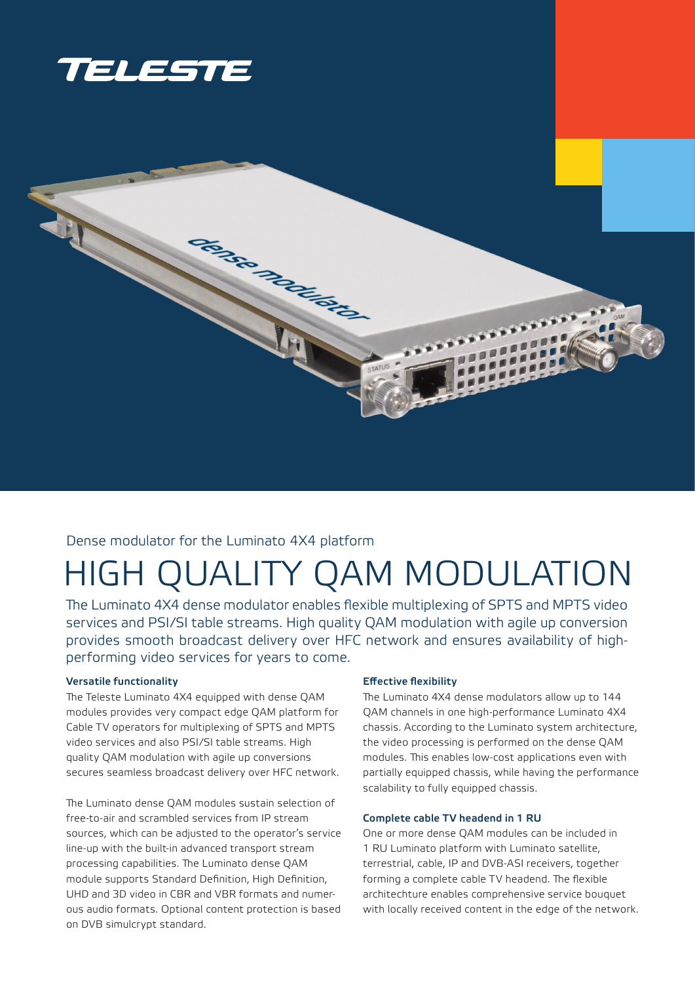



# Dense modulator for the Luminato 4X4 platform

# HIGH QUALITY QAM MODULATION

The Luminato 4X4 dense modulator enables flexible multiplexing of SPTS and MPTS video services and PSI/SI table streams. High quality QAM modulation with agile up conversion provides smooth broadcast delivery over HFC network and ensures availability of highperforming video services for years to come.

# Versatile functionality

The Teleste Luminato 4X4 equipped with dense QAM modules provides very compact edge QAM platform for Cable TV operators for multiplexing of SPTS and MPTS video services and also PSI/SI table streams. High quality QAM modulation with agile up conversions secures seamless broadcast delivery over HFC network.

The Luminato dense QAM modules sustain selection of free-to-air and scrambled services from IP stream sources, which can be adjusted to the operator's service line-up with the built-in advanced transport stream processing capabilities. The Luminato dense QAM module supports Standard Definition, High Definition, UHD and 3D video in CBR and VBR formats and numerous audio formats. Optional content protection is based on DVB simulcrypt standard.

# Effective flexibility

The Luminato 4X4 dense modulators allow up to 144 QAM channels in one high-performance Luminato 4X4 chassis. According to the Luminato system architecture, the video processing is performed on the dense QAM modules. This enables low-cost applications even with partially equipped chassis, while having the performance scalability to fully equipped chassis.

#### Complete cable TV headend in 1 RU

One or more dense QAM modules can be included in 1 RU Luminato platform with Luminato satellite, terrestrial, cable, IP and DVB-ASI receivers, together forming a complete cable TV headend. The flexible architechture enables comprehensive service bouquet with locally received content in the edge of the network.